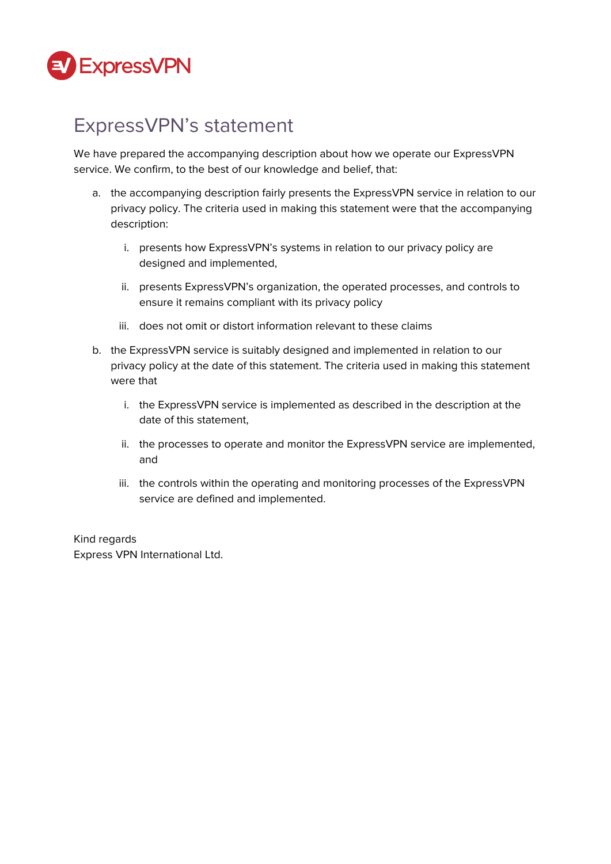

# ExpressVPN's statement

We have prepared the accompanying description about how we operate our ExpressVPN service. We confirm, to the best of our knowledge and belief, that:

- a. the accompanying description fairly presents the ExpressVPN service in relation to our privacy policy. The criteria used in making this statement were that the accompanying description:
	- i. presents how ExpressVPN's systems in relation to our privacy policy are designed and implemented,
	- ii. presents ExpressVPN's organization, the operated processes, and controls to ensure it remains compliant with its privacy policy
	- iii. does not omit or distort information relevant to these claims
- b. the ExpressVPN service is suitably designed and implemented in relation to our privacy policy at the date of this statement. The criteria used in making this statement were that
	- i. the ExpressVPN service is implemented as described in the description at the date of this statement,
	- ii. the processes to operate and monitor the ExpressVPN service are implemented, and
	- iii. the controls within the operating and monitoring processes of the ExpressVPN service are defined and implemented.

#### Kind regards Express VPN International Ltd.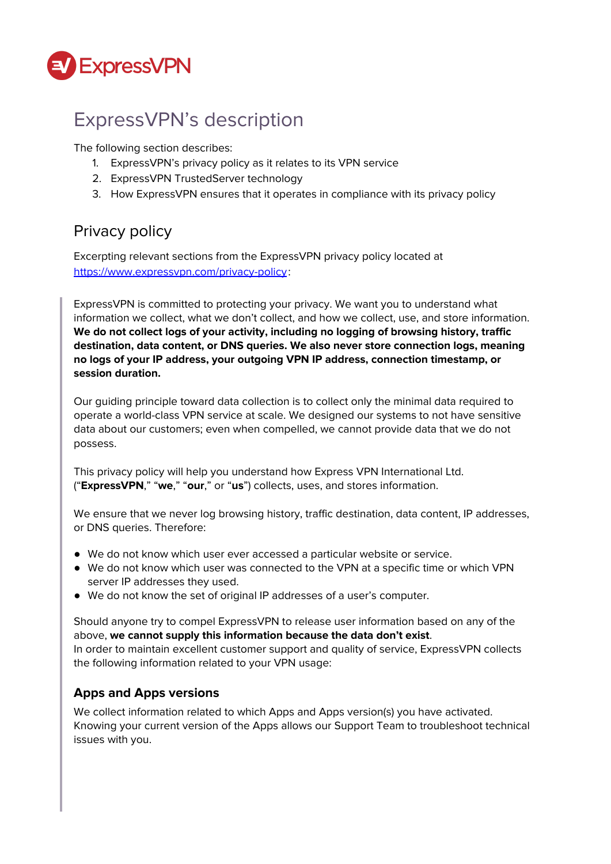

# ExpressVPN's description

The following section describes:

- 1. ExpressVPN's privacy policy as it relates to its VPN service
- 2. ExpressVPN TrustedServer technology
- 3. How ExpressVPN ensures that it operates in compliance with its privacy policy

### Privacy policy

Excerpting relevant sections from the ExpressVPN privacy policy located at <https://www.expressvpn.com/privacy-policy>:

ExpressVPN is committed to protecting your privacy. We want you to understand what information we collect, what we don't collect, and how we collect, use, and store information. **We do not collect logs of your activity, including no logging of browsing history, traffic destination, data content, or DNS queries. We also never store connection logs, meaning no logs of your IP address, your outgoing VPN IP address, connection timestamp, or session duration.**

Our guiding principle toward data collection is to collect only the minimal data required to operate a world-class VPN service at scale. We designed our systems to not have sensitive data about our customers; even when compelled, we cannot provide data that we do not possess.

This privacy policy will help you understand how Express VPN International Ltd. ("**ExpressVPN**," "**we**," "**our**," or "**us**") collects, uses, and stores information.

We ensure that we never log browsing history, traffic destination, data content, IP addresses, or DNS queries. Therefore:

- We do not know which user ever accessed a particular website or service.
- We do not know which user was connected to the VPN at a specific time or which VPN server IP addresses they used.
- We do not know the set of original IP addresses of a user's computer.

Should anyone try to compel ExpressVPN to release user information based on any of the above, **we cannot supply this information because the data don't exist**. In order to maintain excellent customer support and quality of service, ExpressVPN collects the following information related to your VPN usage:

#### **Apps and Apps versions**

We collect information related to which Apps and Apps version(s) you have activated. Knowing your current version of the Apps allows our Support Team to troubleshoot technical issues with you.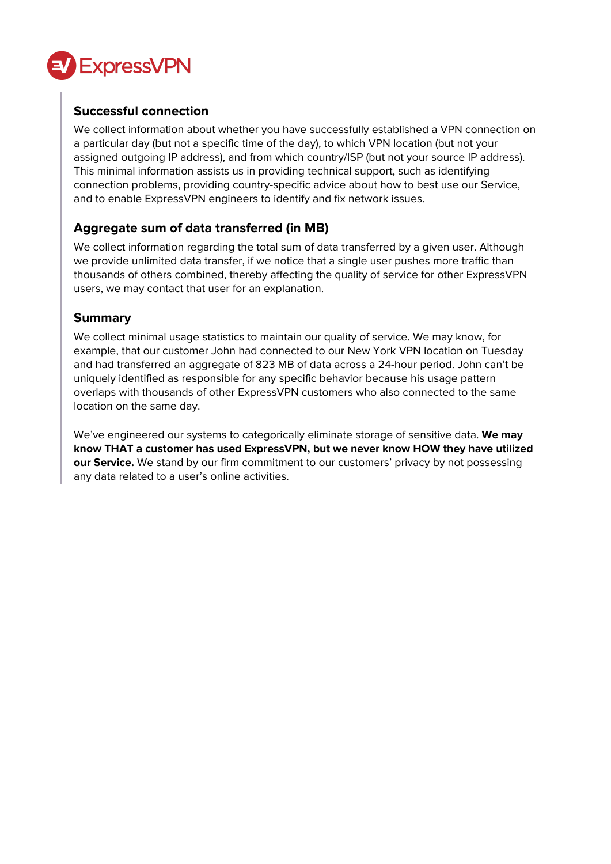

#### **Successful connection**

We collect information about whether you have successfully established a VPN connection on a particular day (but not a specific time of the day), to which VPN location (but not your assigned outgoing IP address), and from which country/ISP (but not your source IP address). This minimal information assists us in providing technical support, such as identifying connection problems, providing country-specific advice about how to best use our Service, and to enable ExpressVPN engineers to identify and fix network issues.

#### **Aggregate sum of data transferred (in MB)**

We collect information regarding the total sum of data transferred by a given user. Although we provide unlimited data transfer, if we notice that a single user pushes more traffic than thousands of others combined, thereby affecting the quality of service for other ExpressVPN users, we may contact that user for an explanation.

#### **Summary**

We collect minimal usage statistics to maintain our quality of service. We may know, for example, that our customer John had connected to our New York VPN location on Tuesday and had transferred an aggregate of 823 MB of data across a 24-hour period. John can't be uniquely identified as responsible for any specific behavior because his usage pattern overlaps with thousands of other ExpressVPN customers who also connected to the same location on the same day.

We've engineered our systems to categorically eliminate storage of sensitive data. **We may know THAT a customer has used ExpressVPN, but we never know HOW they have utilized our Service.** We stand by our firm commitment to our customers' privacy by not possessing any data related to a user's online activities.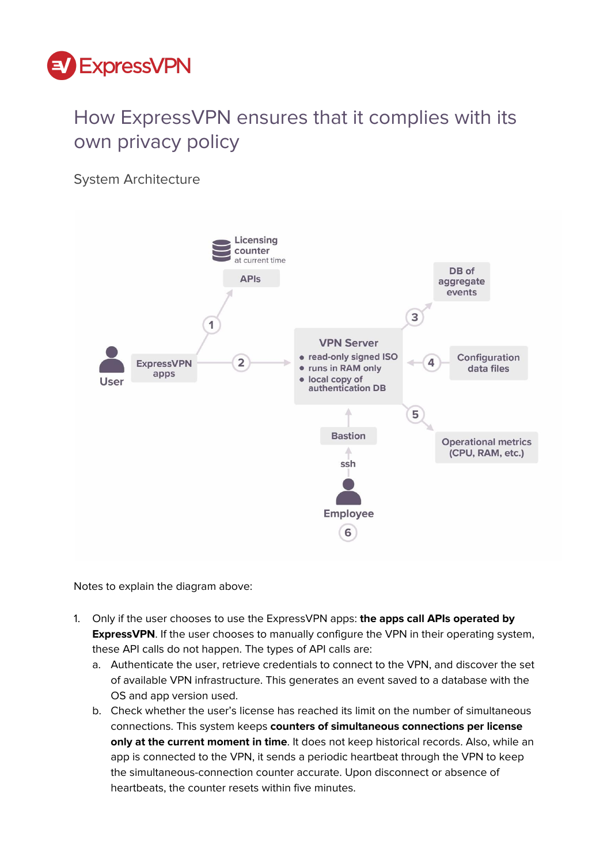

# How ExpressVPN ensures that it complies with its own privacy policy

System Architecture



Notes to explain the diagram above:

- 1. Only if the user chooses to use the ExpressVPN apps: **the apps call APIs operated by ExpressVPN**. If the user chooses to manually configure the VPN in their operating system, these API calls do not happen. The types of API calls are:
	- a. Authenticate the user, retrieve credentials to connect to the VPN, and discover the set of available VPN infrastructure. This generates an event saved to a database with the OS and app version used.
	- b. Check whether the user's license has reached its limit on the number of simultaneous connections. This system keeps **counters of simultaneous connections per license only at the current moment in time**. It does not keep historical records. Also, while an app is connected to the VPN, it sends a periodic heartbeat through the VPN to keep the simultaneous-connection counter accurate. Upon disconnect or absence of heartbeats, the counter resets within five minutes.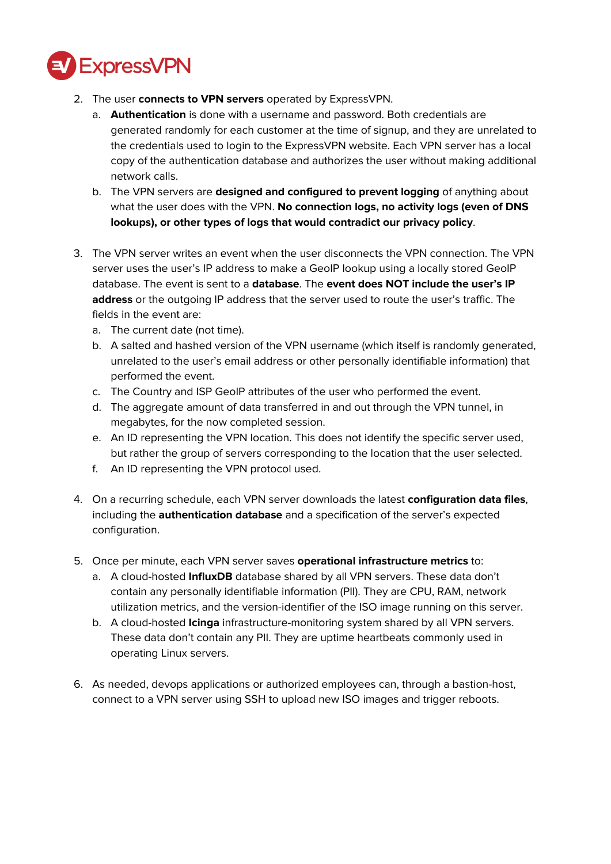

- 2. The user **connects to VPN servers** operated by ExpressVPN.
	- a. **Authentication** is done with a username and password. Both credentials are generated randomly for each customer at the time of signup, and they are unrelated to the credentials used to login to the ExpressVPN website. Each VPN server has a local copy of the authentication database and authorizes the user without making additional network calls.
	- b. The VPN servers are **designed and configured to prevent logging** of anything about what the user does with the VPN. **No connection logs, no activity logs (even of DNS lookups), or other types of logs that would contradict our privacy policy**.
- 3. The VPN server writes an event when the user disconnects the VPN connection. The VPN server uses the user's IP address to make a GeoIP lookup using a locally stored GeoIP database. The event is sent to a **database**. The **event does NOT include the user's IP address** or the outgoing IP address that the server used to route the user's traffic. The fields in the event are:
	- a. The current date (not time).
	- b. A salted and hashed version of the VPN username (which itself is randomly generated, unrelated to the user's email address or other personally identifiable information) that performed the event.
	- c. The Country and ISP GeoIP attributes of the user who performed the event.
	- d. The aggregate amount of data transferred in and out through the VPN tunnel, in megabytes, for the now completed session.
	- e. An ID representing the VPN location. This does not identify the specific server used, but rather the group of servers corresponding to the location that the user selected.
	- f. An ID representing the VPN protocol used.
- 4. On a recurring schedule, each VPN server downloads the latest **configuration data files**, including the **authentication database** and a specification of the server's expected configuration.
- 5. Once per minute, each VPN server saves **operational infrastructure metrics** to:
	- a. A cloud-hosted **InfluxDB** database shared by all VPN servers. These data don't contain any personally identifiable information (PII). They are CPU, RAM, network utilization metrics, and the version-identifier of the ISO image running on this server.
	- b. A cloud-hosted **Icinga** infrastructure-monitoring system shared by all VPN servers. These data don't contain any PII. They are uptime heartbeats commonly used in operating Linux servers.
- 6. As needed, devops applications or authorized employees can, through a bastion-host, connect to a VPN server using SSH to upload new ISO images and trigger reboots.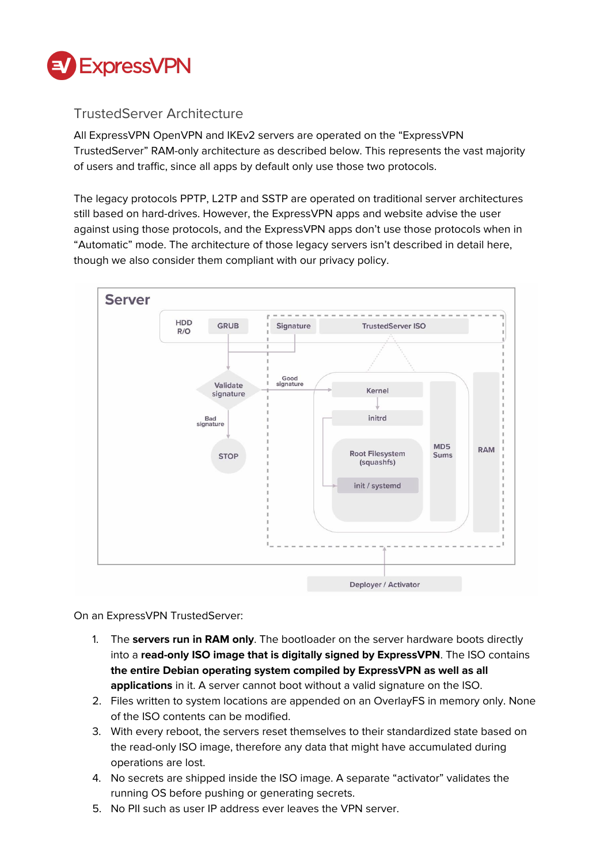

#### TrustedServer Architecture

All ExpressVPN OpenVPN and IKEv2 servers are operated on the "ExpressVPN TrustedServer" RAM-only architecture as described below. This represents the vast majority of users and traffic, since all apps by default only use those two protocols.

The legacy protocols PPTP, L2TP and SSTP are operated on traditional server architectures still based on hard-drives. However, the ExpressVPN apps and website advise the user against using those protocols, and the ExpressVPN apps don't use those protocols when in "Automatic" mode. The architecture of those legacy servers isn't described in detail here, though we also consider them compliant with our privacy policy.



On an ExpressVPN TrustedServer:

- 1. The **servers run in RAM only**. The bootloader on the server hardware boots directly into a **read-only ISO image that is digitally signed by ExpressVPN**. The ISO contains **the entire Debian operating system compiled by ExpressVPN as well as all applications** in it. A server cannot boot without a valid signature on the ISO.
- 2. Files written to system locations are appended on an OverlayFS in memory only. None of the ISO contents can be modified.
- 3. With every reboot, the servers reset themselves to their standardized state based on the read-only ISO image, therefore any data that might have accumulated during operations are lost.
- 4. No secrets are shipped inside the ISO image. A separate "activator" validates the running OS before pushing or generating secrets.
- 5. No PII such as user IP address ever leaves the VPN server.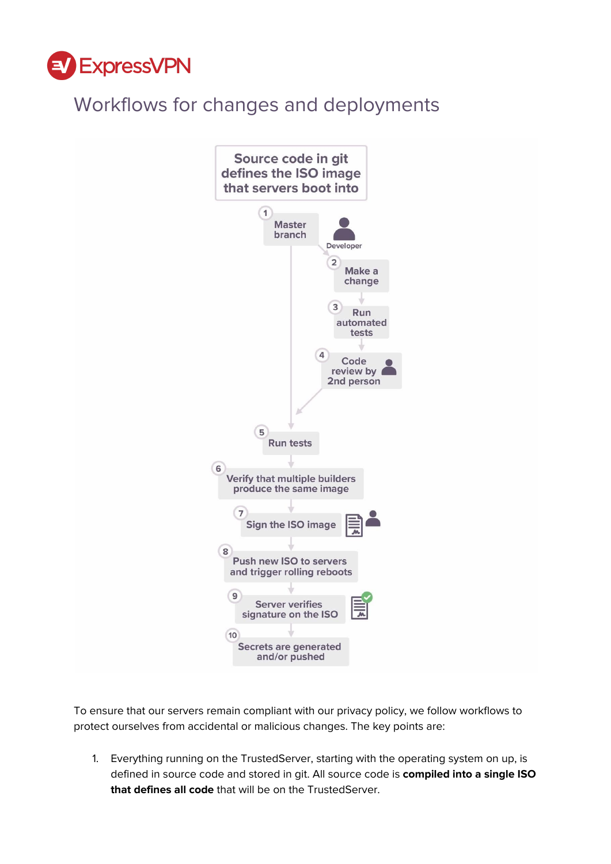

# Workflows for changes and deployments



To ensure that our servers remain compliant with our privacy policy, we follow workflows to protect ourselves from accidental or malicious changes. The key points are:

1. Everything running on the TrustedServer, starting with the operating system on up, is defined in source code and stored in git. All source code is **compiled into a single ISO that defines all code** that will be on the TrustedServer.